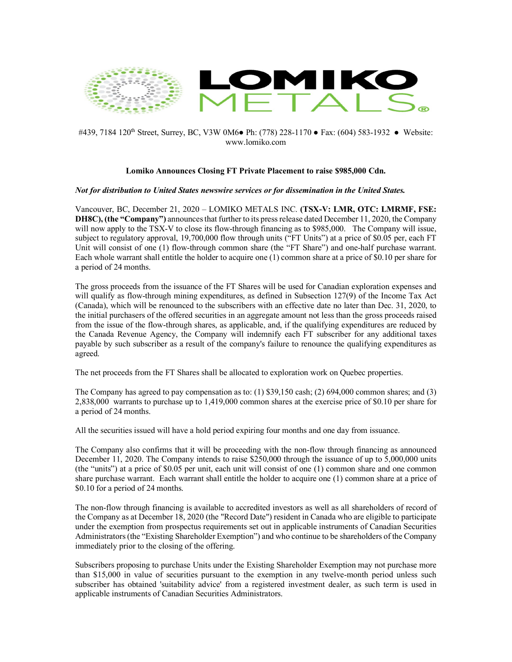

## #439, 7184 120<sup>th</sup> Street, Surrey, BC, V3W 0M6• Ph: (778) 228-1170 • Fax: (604) 583-1932 • Website: www.lomiko.com

## **Lomiko Announces Closing FT Private Placement to raise \$985,000 Cdn.**

## *Not for distribution to United States newswire services or for dissemination in the United States.*

Vancouver, BC, December 21, 2020 – LOMIKO METALS INC. **(TSX-V: LMR, OTC: LMRMF, FSE: DH8C), (the "Company")** announces that further to its press release dated December 11, 2020, the Company will now apply to the TSX-V to close its flow-through financing as to \$985,000. The Company will issue, subject to regulatory approval, 19,700,000 flow through units ("FT Units") at a price of \$0.05 per, each FT Unit will consist of one (1) flow-through common share (the "FT Share") and one-half purchase warrant. Each whole warrant shall entitle the holder to acquire one (1) common share at a price of \$0.10 per share for a period of 24 months.

The gross proceeds from the issuance of the FT Shares will be used for Canadian exploration expenses and will qualify as flow-through mining expenditures, as defined in Subsection 127(9) of the Income Tax Act (Canada), which will be renounced to the subscribers with an effective date no later than Dec. 31, 2020, to the initial purchasers of the offered securities in an aggregate amount not less than the gross proceeds raised from the issue of the flow-through shares, as applicable, and, if the qualifying expenditures are reduced by the Canada Revenue Agency, the Company will indemnify each FT subscriber for any additional taxes payable by such subscriber as a result of the company's failure to renounce the qualifying expenditures as agreed.

The net proceeds from the FT Shares shall be allocated to exploration work on Quebec properties.

The Company has agreed to pay compensation as to:  $(1)$  \$39,150 cash;  $(2)$  694,000 common shares; and  $(3)$ 2,838,000 warrants to purchase up to 1,419,000 common shares at the exercise price of \$0.10 per share for a period of 24 months.

All the securities issued will have a hold period expiring four months and one day from issuance.

The Company also confirms that it will be proceeding with the non-flow through financing as announced December 11, 2020. The Company intends to raise \$250,000 through the issuance of up to 5,000,000 units (the "units") at a price of \$0.05 per unit, each unit will consist of one (1) common share and one common share purchase warrant. Each warrant shall entitle the holder to acquire one (1) common share at a price of \$0.10 for a period of 24 months.

The non-flow through financing is available to accredited investors as well as all shareholders of record of the Company as at December 18, 2020 (the "Record Date") resident in Canada who are eligible to participate under the exemption from prospectus requirements set out in applicable instruments of Canadian Securities Administrators (the "Existing Shareholder Exemption") and who continue to be shareholders of the Company immediately prior to the closing of the offering.

Subscribers proposing to purchase Units under the Existing Shareholder Exemption may not purchase more than \$15,000 in value of securities pursuant to the exemption in any twelve-month period unless such subscriber has obtained 'suitability advice' from a registered investment dealer, as such term is used in applicable instruments of Canadian Securities Administrators.